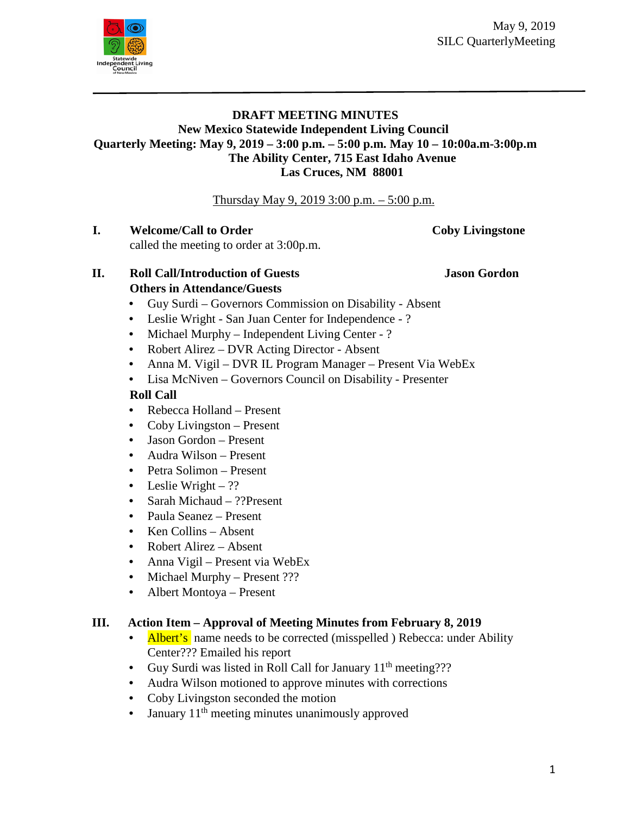May 9, 2019 SILC QuarterlyMeeting



### **DRAFT MEETING MINUTES New Mexico Statewide Independent Living Council Quarterly Meeting: May 9, 2019 – 3:00 p.m. – 5:00 p.m. May 10 – 10:00a.m-3:00p.m The Ability Center, 715 East Idaho Avenue Las Cruces, NM 88001**

Thursday May 9, 2019 3:00 p.m. – 5:00 p.m.

**I. Welcome/Call to Order <b>Coby Livingstone** 

called the meeting to order at 3:00p.m.

**II. Roll Call/Introduction of Guests Jason Gordon Others in Attendance/Guests**

- Guy Surdi Governors Commission on Disability Absent
- Leslie Wright San Juan Center for Independence ?
- Michael Murphy Independent Living Center ?
- Robert Alirez DVR Acting Director Absent
- Anna M. Vigil DVR IL Program Manager Present Via WebEx
- Lisa McNiven Governors Council on Disability Presenter

#### **Roll Call**

- Rebecca Holland Present
- Coby Livingston Present
- Jason Gordon Present
- Audra Wilson Present
- Petra Solimon Present
- Leslie Wright ??
- Sarah Michaud ??Present
- Paula Seanez Present
- Ken Collins Absent
- Robert Alirez Absent
- Anna Vigil Present via WebEx
- Michael Murphy Present ???
- Albert Montoya Present

### **III. Action Item – Approval of Meeting Minutes from February 8, 2019**

- Albert's name needs to be corrected (misspelled) Rebecca: under Ability Center??? Emailed his report
- Guy Surdi was listed in Roll Call for January  $11<sup>th</sup>$  meeting???
- Audra Wilson motioned to approve minutes with corrections
- Coby Livingston seconded the motion
- January  $11<sup>th</sup>$  meeting minutes unanimously approved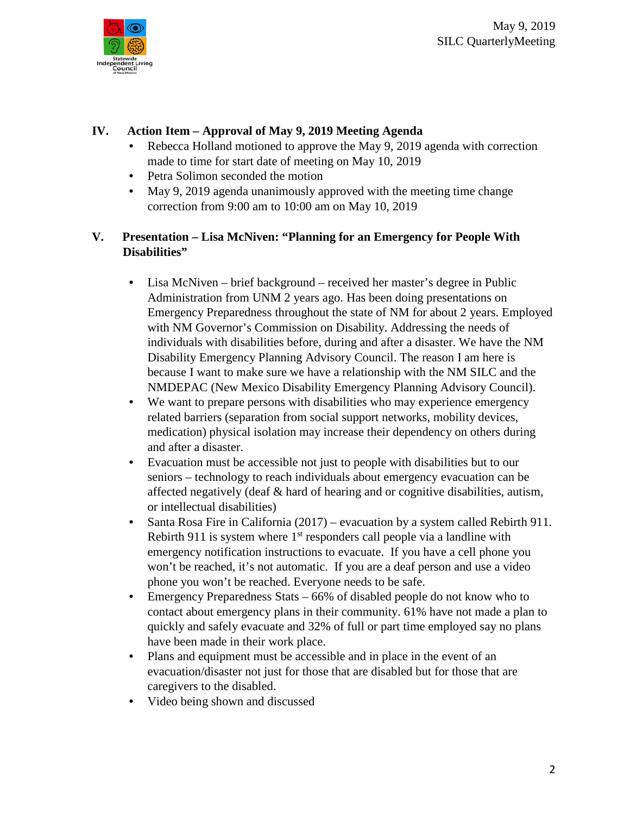

#### **IV. Action Item – Approval of May 9, 2019 Meeting Agenda**

- Rebecca Holland motioned to approve the May 9, 2019 agenda with correction made to time for start date of meeting on May 10, 2019
- Petra Solimon seconded the motion
- May 9, 2019 agenda unanimously approved with the meeting time change correction from 9:00 am to 10:00 am on May 10, 2019

### **V. Presentation – Lisa McNiven: "Planning for an Emergency for People With Disabilities"**

- Lisa McNiven brief background received her master's degree in Public Administration from UNM 2 years ago. Has been doing presentations on Emergency Preparedness throughout the state of NM for about 2 years. Employed with NM Governor's Commission on Disability. Addressing the needs of individuals with disabilities before, during and after a disaster. We have the NM Disability Emergency Planning Advisory Council. The reason I am here is because I want to make sure we have a relationship with the NM SILC and the NMDEPAC (New Mexico Disability Emergency Planning Advisory Council).
- We want to prepare persons with disabilities who may experience emergency related barriers (separation from social support networks, mobility devices, medication) physical isolation may increase their dependency on others during and after a disaster.
- Evacuation must be accessible not just to people with disabilities but to our seniors – technology to reach individuals about emergency evacuation can be affected negatively (deaf & hard of hearing and or cognitive disabilities, autism, or intellectual disabilities)
- Santa Rosa Fire in California (2017) evacuation by a system called Rebirth 911. Rebirth 911 is system where  $1<sup>st</sup>$  responders call people via a landline with emergency notification instructions to evacuate. If you have a cell phone you won't be reached, it's not automatic. If you are a deaf person and use a video phone you won't be reached. Everyone needs to be safe.
- Emergency Preparedness Stats 66% of disabled people do not know who to contact about emergency plans in their community. 61% have not made a plan to quickly and safely evacuate and 32% of full or part time employed say no plans have been made in their work place.
- Plans and equipment must be accessible and in place in the event of an evacuation/disaster not just for those that are disabled but for those that are caregivers to the disabled.
- Video being shown and discussed